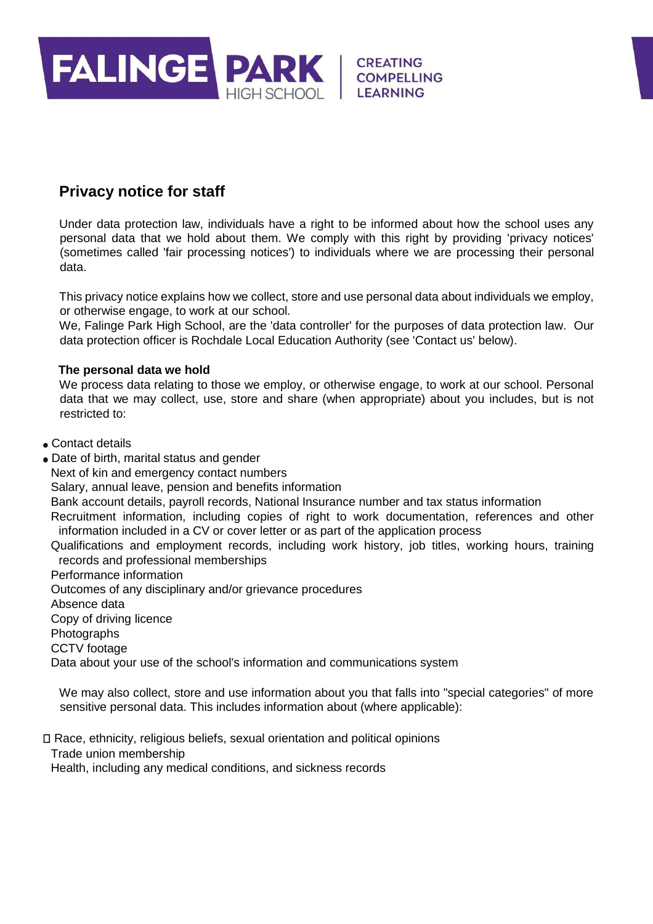

# **Privacy notice for staff**

Under data protection law, individuals have a right to be informed about how the school uses any personal data that we hold about them. We comply with this right by providing 'privacy notices' (sometimes called 'fair processing notices') to individuals where we are processing their personal data.

This privacy notice explains how we collect, store and use personal data about individuals we employ, or otherwise engage, to work at our school.

We, Falinge Park High School, are the 'data controller' for the purposes of data protection law. Our data protection officer is Rochdale Local Education Authority (see 'Contact us' below).

### **The personal data we hold**

We process data relating to those we employ, or otherwise engage, to work at our school. Personal data that we may collect, use, store and share (when appropriate) about you includes, but is not restricted to:

- Contact details
- Date of birth, marital status and gender

Next of kin and emergency contact numbers

Salary, annual leave, pension and benefits information

Bank account details, payroll records, National Insurance number and tax status information

Recruitment information, including copies of right to work documentation, references and other information included in a CV or cover letter or as part of the application process

Qualifications and employment records, including work history, job titles, working hours, training records and professional memberships

Performance information

Outcomes of any disciplinary and/or grievance procedures

Absence data

Copy of driving licence

Photographs

CCTV footage

Data about your use of the school's information and communications system

We may also collect, store and use information about you that falls into "special categories" of more sensitive personal data. This includes information about (where applicable):

Race, ethnicity, religious beliefs, sexual orientation and political opinions

Trade union membership

Health, including any medical conditions, and sickness records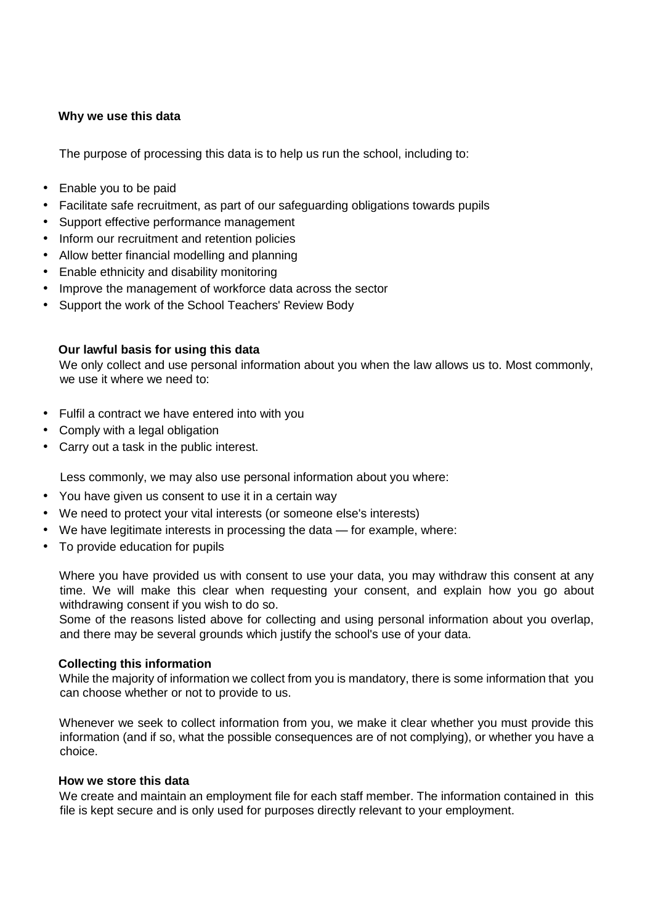#### **Why we use this data**

The purpose of processing this data is to help us run the school, including to:

- Enable you to be paid
- Facilitate safe recruitment, as part of our safeguarding obligations towards pupils
- Support effective performance management
- Inform our recruitment and retention policies
- Allow better financial modelling and planning
- Enable ethnicity and disability monitoring
- Improve the management of workforce data across the sector
- Support the work of the School Teachers' Review Body

#### **Our lawful basis for using this data**

We only collect and use personal information about you when the law allows us to. Most commonly, we use it where we need to:

- Fulfil a contract we have entered into with you
- Comply with a legal obligation
- Carry out a task in the public interest.

Less commonly, we may also use personal information about you where:

- You have given us consent to use it in a certain way
- We need to protect your vital interests (or someone else's interests)
- We have legitimate interests in processing the data for example, where:
- To provide education for pupils

Where you have provided us with consent to use your data, you may withdraw this consent at any time. We will make this clear when requesting your consent, and explain how you go about withdrawing consent if you wish to do so.

Some of the reasons listed above for collecting and using personal information about you overlap, and there may be several grounds which justify the school's use of your data.

#### **Collecting this information**

While the majority of information we collect from you is mandatory, there is some information that you can choose whether or not to provide to us.

Whenever we seek to collect information from you, we make it clear whether you must provide this information (and if so, what the possible consequences are of not complying), or whether you have a choice.

#### **How we store this data**

We create and maintain an employment file for each staff member. The information contained in this file is kept secure and is only used for purposes directly relevant to your employment.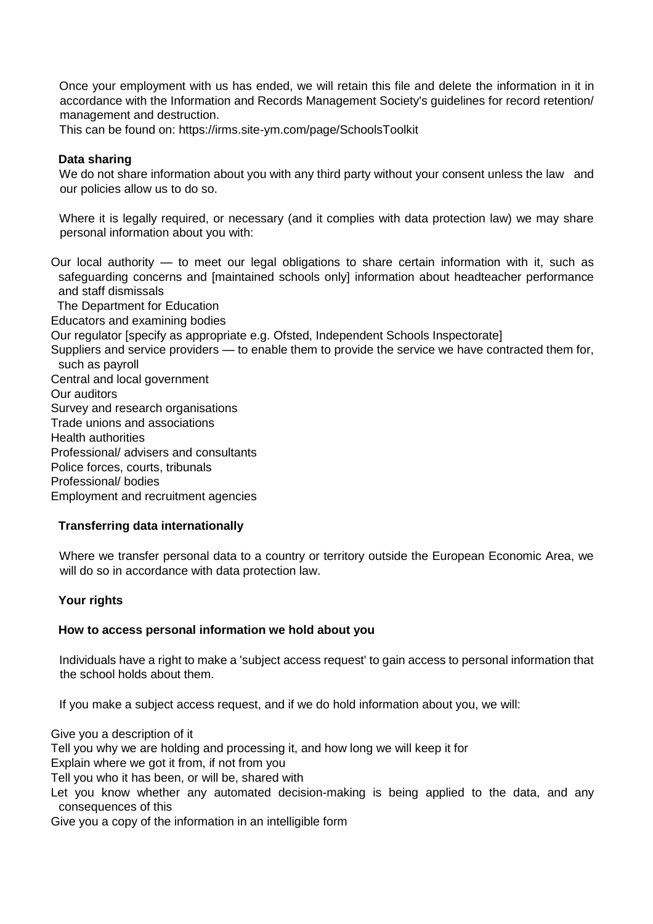Once your employment with us has ended, we will retain this file and delete the information in it in accordance with the Information and Records Management Society's guidelines for record retention/ management and destruction.

This can be found on: https://irms.site-ym.com/page/SchoolsToolkit

#### **Data sharing**

We do not share information about you with any third party without your consent unless the law and our policies allow us to do so.

Where it is legally required, or necessary (and it complies with data protection law) we may share personal information about you with:

Our local authority — to meet our legal obligations to share certain information with it, such as safeguarding concerns and [maintained schools only] information about headteacher performance and staff dismissals The Department for Education Educators and examining bodies Our regulator [specify as appropriate e.g. Ofsted, Independent Schools Inspectorate] Suppliers and service providers — to enable them to provide the service we have contracted them for, such as payroll Central and local government Our auditors Survey and research organisations Trade unions and associations Health authorities Professional/ advisers and consultants Police forces, courts, tribunals Professional/ bodies Employment and recruitment agencies

#### **Transferring data internationally**

Where we transfer personal data to a country or territory outside the European Economic Area, we will do so in accordance with data protection law.

## **Your rights**

#### **How to access personal information we hold about you**

Individuals have a right to make a 'subject access request' to gain access to personal information that the school holds about them.

If you make a subject access request, and if we do hold information about you, we will:

Give you a description of it Tell you why we are holding and processing it, and how long we will keep it for Explain where we got it from, if not from you Tell you who it has been, or will be, shared with Let you know whether any automated decision-making is being applied to the data, and any

consequences of this

Give you a copy of the information in an intelligible form